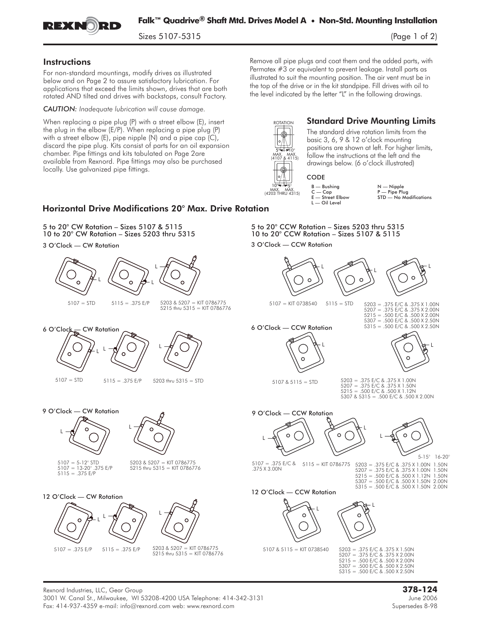

Sizes 5107-5315 (Page 1 of 2)

### **Instructions**

For non-standard mountings, modify drives as illustrated below and on Page 2 to assure satisfactory lubrication. For applications that exceed the limits shown, drives that are both rotated AND tilted and drives with backstops, consult Factory.

*CAUTION: Inadequate lubrication will cause damage.*

When replacing a pipe plug (P) with a street elbow (E), insert the plug in the elbow (E/P). When replacing a pipe plug (P) with a street elbow (E), pipe nipple (N) and a pipe cap (C), discard the pipe plug. Kits consist of parts for an oil expansion chamber. Pipe fittings and kits tabulated on Page 2are available from Rexnord. Pipe fittings may also be purchased locally. Use galvanized pipe fittings.

Remove all pipe plugs and coat them and the added parts, with Permatex #3 or equivalent to prevent leakage. Install parts as illustrated to suit the mounting position. The air vent must be in the top of the drive or in the kit standpipe. Fill drives with oil to the level indicated by the letter "L" in the following drawings.



# Standard Drive Mounting Limits

The standard drive rotation limits from the basic 3, 6, 9 & 12 o'clock mounting positions are shown at left. For higher limits, follow the instructions at the left and the drawings below. (6 o'clock illustrated)



3 O'Clock — CCW Rotation

# CODE

B — Bushing N — Nipple  $C = Cap$ <br>  $E = Street Elbow$ <br>  $STD = No Mo$ L — Oil Level

5 to 20° CCW Rotation – Sizes 5203 thru 5315 10 to 20° CCW Rotation – Sizes 5107 & 5115

 $STD$  — No Modifications

L

5-15° 16-20°

### Horizontal Drive Modifications 20° Max. Drive Rotation

5 to 20° CW Rotation – Sizes 5107 & 5115 10 to 20° CW Rotation – Sizes 5203 thru 5315

3 O'Clock — CW Rotation



L

 $\Omega$ 

#### Rexnord Industries, LLC, Gear Group **378-124** 3001 W. Canal St., Milwaukee, WI 53208-4200 USA Telephone: 414-342-3131 June 2006 Fax: 414-937-4359 e-mail: info@rexnord.com web: www.rexnord.com Supersedes 8-98